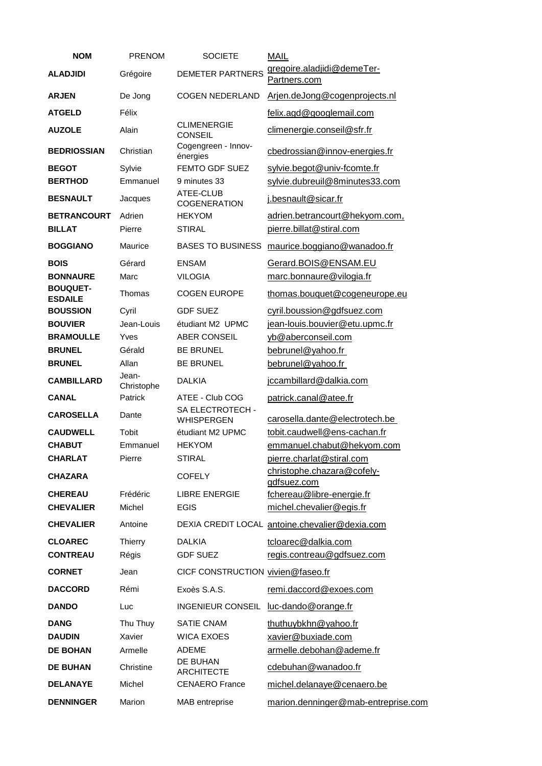| <b>NOM</b>                          | <b>PRENOM</b>       | <b>SOCIETE</b>                        | <b>MAIL</b>                                                   |
|-------------------------------------|---------------------|---------------------------------------|---------------------------------------------------------------|
| <b>ALADJIDI</b>                     | Grégoire            | <b>DEMETER PARTNERS</b>               | gregoire.aladjidi@demeTer-<br>Partners.com                    |
| <b>ARJEN</b>                        | De Jong             | <b>COGEN NEDERLAND</b>                | Arjen.deJong@cogenprojects.nl                                 |
| <b>ATGELD</b>                       | Félix               |                                       | felix.agd@googlemail.com                                      |
| <b>AUZOLE</b>                       | Alain               | <b>CLIMENERGIE</b><br><b>CONSEIL</b>  | climenergie.conseil@sfr.fr                                    |
| <b>BEDRIOSSIAN</b>                  | Christian           | Cogengreen - Innov-<br>énergies       | cbedrossian@innov-energies.fr                                 |
| <b>BEGOT</b><br><b>BERTHOD</b>      | Sylvie<br>Emmanuel  | FEMTO GDF SUEZ<br>9 minutes 33        | sylvie.begot@univ-fcomte.fr<br>sylvie.dubreuil@8minutes33.com |
| <b>BESNAULT</b>                     | Jacques             | ATEE-CLUB<br>COGENERATION             | j.besnault@sicar.fr                                           |
| <b>BETRANCOURT</b><br><b>BILLAT</b> | Adrien<br>Pierre    | <b>HEKYOM</b><br><b>STIRAL</b>        | adrien.betrancourt@hekyom.com,<br>pierre.billat@stiral.com    |
| <b>BOGGIANO</b>                     | Maurice             | <b>BASES TO BUSINESS</b>              | maurice.boggiano@wanadoo.fr                                   |
| <b>BOIS</b>                         | Gérard              | <b>ENSAM</b>                          | Gerard.BOIS@ENSAM.EU                                          |
| <b>BONNAURE</b>                     | Marc                | <b>VILOGIA</b>                        | marc.bonnaure@vilogia.fr                                      |
| <b>BOUQUET-</b><br><b>ESDAILE</b>   | Thomas              | <b>COGEN EUROPE</b>                   | thomas.bouquet@cogeneurope.eu                                 |
| <b>BOUSSION</b>                     | Cyril               | <b>GDF SUEZ</b>                       | cyril.boussion@gdfsuez.com                                    |
| <b>BOUVIER</b>                      | Jean-Louis          | étudiant M2 UPMC                      | jean-louis.bouvier@etu.upmc.fr                                |
| <b>BRAMOULLE</b>                    | Yves                | <b>ABER CONSEIL</b>                   | yb@aberconseil.com                                            |
| <b>BRUNEL</b>                       | Gérald              | <b>BE BRUNEL</b>                      | bebrunel@yahoo.fr                                             |
| <b>BRUNEL</b>                       | Allan               | <b>BE BRUNEL</b>                      | bebrunel@yahoo.fr                                             |
| <b>CAMBILLARD</b>                   | Jean-<br>Christophe | <b>DALKIA</b>                         | jccambillard@dalkia.com                                       |
| <b>CANAL</b>                        | Patrick             | ATEE - Club COG                       | patrick.canal@atee.fr                                         |
| <b>CAROSELLA</b>                    | Dante               | SA ELECTROTECH -<br><b>WHISPERGEN</b> | carosella.dante@electrotech.be                                |
| <b>CAUDWELL</b>                     | Tobit               | étudiant M2 UPMC                      | tobit.caudwell@ens-cachan.fr                                  |
| <b>CHABUT</b>                       | Emmanuel            | <b>HEKYOM</b>                         | emmanuel.chabut@hekyom.com                                    |
| <b>CHARLAT</b>                      | Pierre              | <b>STIRAL</b>                         | pierre.charlat@stiral.com                                     |
| <b>CHAZARA</b>                      |                     | <b>COFELY</b>                         | christophe.chazara@cofely-<br>gdfsuez.com                     |
| <b>CHEREAU</b>                      | Frédéric            | <b>LIBRE ENERGIE</b>                  | fchereau@libre-energie.fr                                     |
| <b>CHEVALIER</b>                    | Michel              | <b>EGIS</b>                           | michel.chevalier@egis.fr                                      |
| <b>CHEVALIER</b>                    | Antoine             |                                       | DEXIA CREDIT LOCAL antoine.chevalier@dexia.com                |
| <b>CLOAREC</b>                      | <b>Thierry</b>      | <b>DALKIA</b>                         | tcloarec@dalkia.com                                           |
| <b>CONTREAU</b>                     | Régis               | <b>GDF SUEZ</b>                       | regis.contreau@gdfsuez.com                                    |
| <b>CORNET</b>                       | Jean                | CICF CONSTRUCTION vivien@faseo.fr     |                                                               |
| <b>DACCORD</b>                      | Rémi                | Exoès S.A.S.                          | remi.daccord@exoes.com                                        |
| <b>DANDO</b>                        | Luc                 | INGENIEUR CONSEIL                     | luc-dando@orange.fr                                           |
| <b>DANG</b>                         | Thu Thuy            | <b>SATIE CNAM</b>                     | thuthuybkhn@yahoo.fr                                          |
| <b>DAUDIN</b>                       | Xavier              | <b>WICA EXOES</b>                     | xavier@buxiade.com                                            |
| <b>DE BOHAN</b>                     | Armelle             | <b>ADEME</b>                          | armelle.debohan@ademe.fr                                      |
| <b>DE BUHAN</b>                     | Christine           | DE BUHAN<br><b>ARCHITECTE</b>         | cdebuhan@wanadoo.fr                                           |
| <b>DELANAYE</b>                     | Michel              | <b>CENAERO</b> France                 | michel.delanaye@cenaero.be                                    |
| <b>DENNINGER</b>                    | Marion              | MAB entreprise                        | marion.denninger@mab-entreprise.com                           |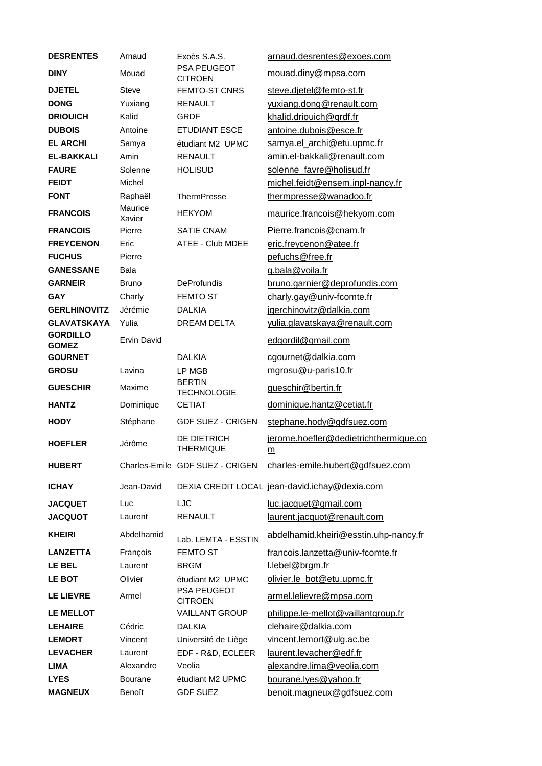| <b>DESRENTES</b>                | Arnaud             | Exoès S.A.S.                         | arnaud.desrentes@exoes.com                               |
|---------------------------------|--------------------|--------------------------------------|----------------------------------------------------------|
| <b>DINY</b>                     | Mouad              | <b>PSA PEUGEOT</b><br><b>CITROEN</b> | mouad.diny@mpsa.com                                      |
| <b>DJETEL</b>                   | Steve              | FEMTO-ST CNRS                        | steve.djetel@femto-st.fr                                 |
| <b>DONG</b>                     | Yuxiang            | <b>RENAULT</b>                       | yuxiang.dong@renault.com                                 |
| <b>DRIOUICH</b>                 | Kalid              | <b>GRDF</b>                          | khalid.driouich@grdf.fr                                  |
| <b>DUBOIS</b>                   | Antoine            | <b>ETUDIANT ESCE</b>                 | antoine.dubois@esce.fr                                   |
| <b>EL ARCHI</b>                 | Samya              | étudiant M2 UPMC                     | samya.el archi@etu.upmc.fr                               |
| <b>EL-BAKKALI</b>               | Amin               | <b>RENAULT</b>                       | amin.el-bakkali@renault.com                              |
| <b>FAURE</b>                    | Solenne            | <b>HOLISUD</b>                       | solenne_favre@holisud.fr                                 |
| <b>FEIDT</b>                    | Michel             |                                      | michel.feidt@ensem.inpl-nancy.fr                         |
| <b>FONT</b>                     | Raphaël            | <b>ThermPresse</b>                   | thermpresse@wanadoo.fr                                   |
| <b>FRANCOIS</b>                 | Maurice<br>Xavier  | <b>HEKYOM</b>                        | maurice.francois@hekyom.com                              |
| <b>FRANCOIS</b>                 | Pierre             | <b>SATIE CNAM</b>                    | Pierre.francois@cnam.fr                                  |
| <b>FREYCENON</b>                | Eric               | ATEE - Club MDEE                     | eric.freycenon@atee.fr                                   |
| <b>FUCHUS</b>                   | Pierre             |                                      | pefuchs@free.fr                                          |
| <b>GANESSANE</b>                | Bala               |                                      | g.bala@voila.fr                                          |
| <b>GARNEIR</b>                  | <b>Bruno</b>       | <b>DeProfundis</b>                   | bruno.garnier@deprofundis.com                            |
| <b>GAY</b>                      | Charly             | <b>FEMTO ST</b>                      | charly.gay@univ-fcomte.fr                                |
| <b>GERLHINOVITZ</b>             | Jérémie            | <b>DALKIA</b>                        | jgerchinovitz@dalkia.com                                 |
| <b>GLAVATSKAYA</b>              | Yulia              | DREAM DELTA                          | yulia.glavatskaya@renault.com                            |
| <b>GORDILLO</b><br><b>GOMEZ</b> | <b>Ervin David</b> |                                      | edgordil@gmail.com                                       |
| <b>GOURNET</b>                  |                    | <b>DALKIA</b>                        | cgournet@dalkia.com                                      |
| <b>GROSU</b>                    | Lavina             | LP MGB                               | mgrosu@u-paris10.fr                                      |
| <b>GUESCHIR</b>                 | Maxime             | <b>BERTIN</b><br><b>TECHNOLOGIE</b>  | gueschir@bertin.fr                                       |
| <b>HANTZ</b>                    | Dominique          | <b>CETIAT</b>                        | dominique.hantz@cetiat.fr                                |
| <b>HODY</b>                     | Stéphane           | <b>GDF SUEZ - CRIGEN</b>             | stephane.hody@gdfsuez.com                                |
| <b>HOEFLER</b>                  | Jérôme             | DE DIETRICH<br><b>THERMIQUE</b>      | jerome.hoefler@dedietrichthermique.co<br>$\underline{m}$ |
| <b>HUBERT</b>                   |                    | Charles-Emile GDF SUEZ - CRIGEN      | charles-emile.hubert@gdfsuez.com                         |
| <b>ICHAY</b>                    | Jean-David         |                                      | DEXIA CREDIT LOCAL jean-david.ichay@dexia.com            |
| <b>JACQUET</b>                  | Luc                | LJC                                  | luc.jacquet@gmail.com                                    |
| <b>JACQUOT</b>                  | Laurent            | <b>RENAULT</b>                       | laurent.jacquot@renault.com                              |
| <b>KHEIRI</b>                   | Abdelhamid         | Lab. LEMTA - ESSTIN                  | abdelhamid.kheiri@esstin.uhp-nancy.fr                    |
| <b>LANZETTA</b>                 | François           | <b>FEMTO ST</b>                      | francois.lanzetta@univ-fcomte.fr                         |
| LE BEL                          | Laurent            | <b>BRGM</b>                          | l.lebel@brgm.fr                                          |
| <b>LE BOT</b>                   | Olivier            | étudiant M2 UPMC                     | olivier.le_bot@etu.upmc.fr                               |
| <b>LE LIEVRE</b>                | Armel              | PSA PEUGEOT<br><b>CITROEN</b>        | armel.lelievre@mpsa.com                                  |
| <b>LE MELLOT</b>                |                    | <b>VAILLANT GROUP</b>                | philippe.le-mellot@vaillantgroup.fr                      |
| <b>LEHAIRE</b>                  | Cédric             | <b>DALKIA</b>                        | clehaire@dalkia.com                                      |
| <b>LEMORT</b>                   | Vincent            | Université de Liège                  | vincent.lemort@ulg.ac.be                                 |
| <b>LEVACHER</b>                 | Laurent            | EDF - R&D, ECLEER                    | laurent.levacher@edf.fr                                  |
| <b>LIMA</b>                     | Alexandre          | Veolia                               | alexandre.lima@veolia.com                                |
| <b>LYES</b>                     | <b>Bourane</b>     | étudiant M2 UPMC                     | bourane.lyes@yahoo.fr                                    |
| <b>MAGNEUX</b>                  | Benoît             | <b>GDF SUEZ</b>                      | benoit.magneux@gdfsuez.com                               |